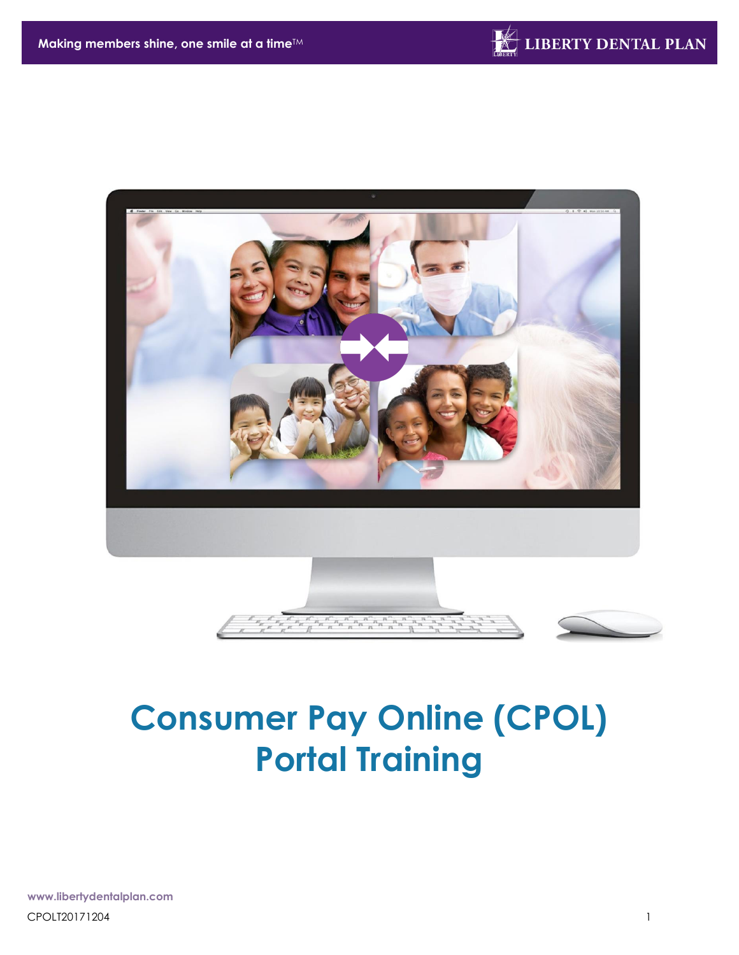



# **Consumer Pay Online (CPOL) Portal Training**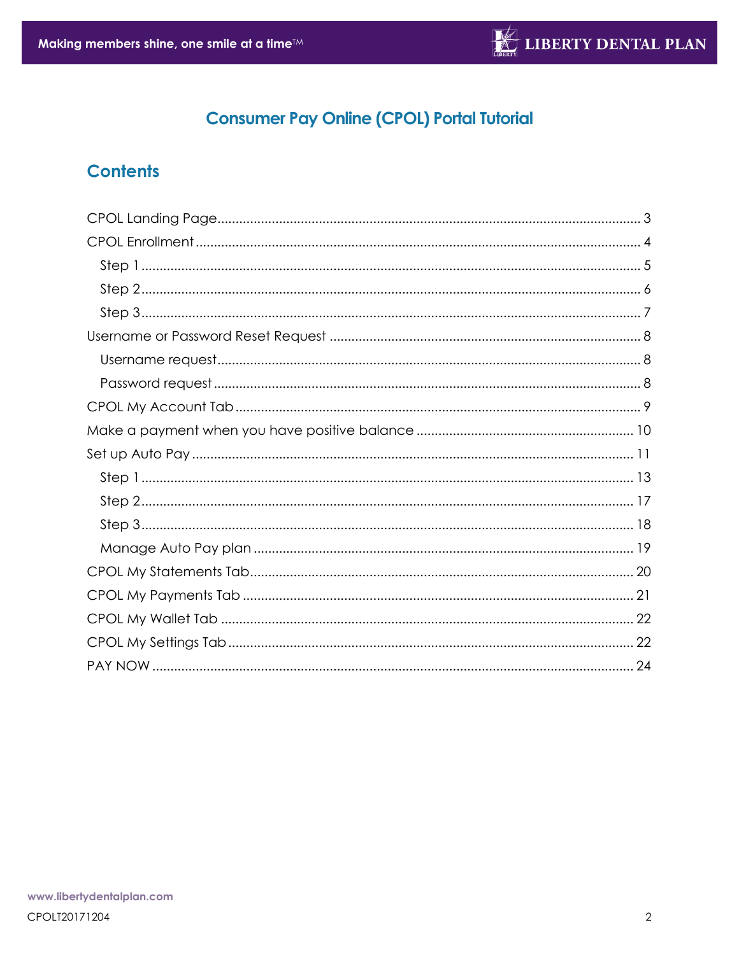# **Consumer Pay Online (CPOL) Portal Tutorial**

# **Contents**

<span id="page-1-0"></span>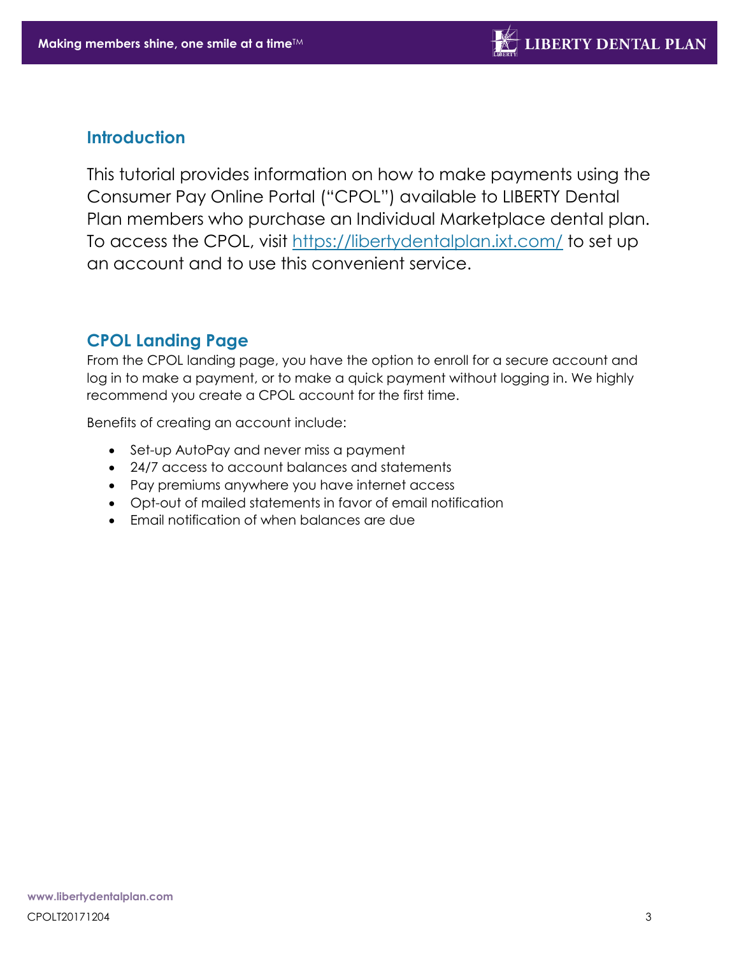### **Introduction**

This tutorial provides information on how to make payments using the Consumer Pay Online Portal ("CPOL") available to LIBERTY Dental Plan members who purchase an Individual Marketplace dental plan. To access the CPOL, visit<https://libertydentalplan.ixt.com/> to set up an account and to use this convenient service.

# **CPOL Landing Page**

From the CPOL landing page, you have the option to enroll for a secure account and log in to make a payment, or to make a quick payment without logging in. We highly recommend you create a CPOL account for the first time.

Benefits of creating an account include:

- Set-up AutoPay and never miss a payment
- 24/7 access to account balances and statements
- Pay premiums anywhere you have internet access
- Opt-out of mailed statements in favor of email notification
- Email notification of when balances are due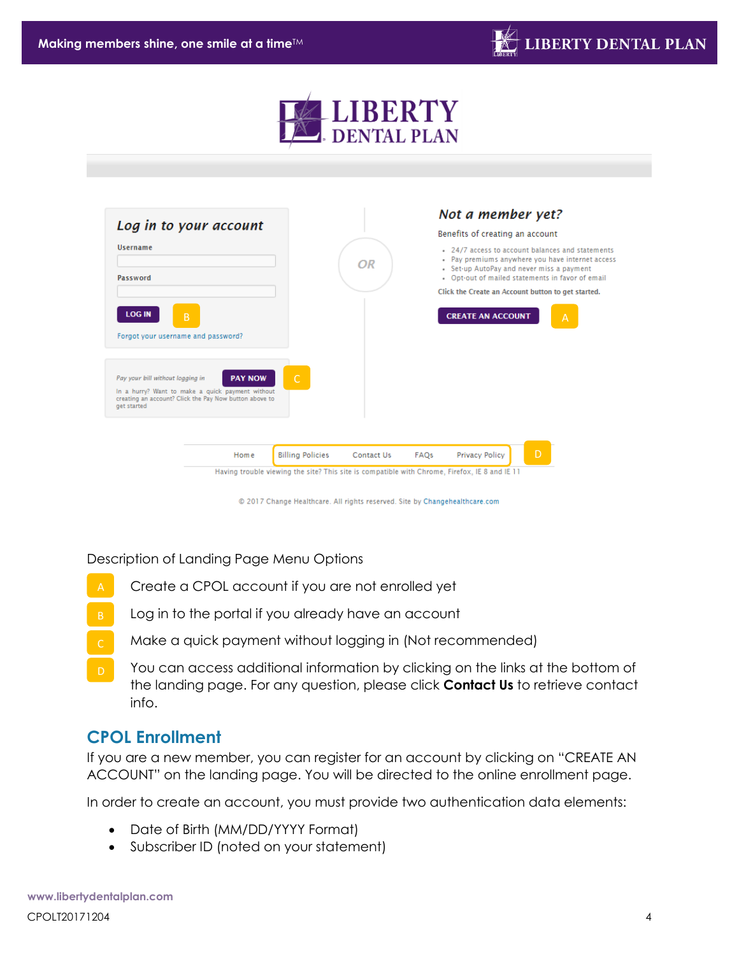

|                                                                                                                                                               |                |                         |            |      | Not a member yet?                                                                                                                                                                                     |
|---------------------------------------------------------------------------------------------------------------------------------------------------------------|----------------|-------------------------|------------|------|-------------------------------------------------------------------------------------------------------------------------------------------------------------------------------------------------------|
| Log in to your account                                                                                                                                        |                |                         |            |      | Benefits of creating an account                                                                                                                                                                       |
| <b>Username</b><br>Password                                                                                                                                   |                |                         | OR         |      | . 24/7 access to account balances and statements<br>. Pay premiums anywhere you have internet access<br>• Set-up AutoPay and never miss a payment<br>. Opt-out of mailed statements in favor of email |
|                                                                                                                                                               |                |                         |            |      | Click the Create an Account button to get started.                                                                                                                                                    |
| <b>LOG IN</b><br>B                                                                                                                                            |                |                         |            |      | <b>CREATE AN ACCOUNT</b><br>A                                                                                                                                                                         |
| Forgot your username and password?                                                                                                                            |                |                         |            |      |                                                                                                                                                                                                       |
| Pay your bill without logging in<br>In a hurry? Want to make a quick payment without<br>creating an account? Click the Pay Now button above to<br>get started | <b>PAY NOW</b> | Ċ                       |            |      |                                                                                                                                                                                                       |
|                                                                                                                                                               |                |                         |            |      | D                                                                                                                                                                                                     |
|                                                                                                                                                               | Home           | <b>Billing Policies</b> | Contact Us | FAQs | <b>Privacy Policy</b>                                                                                                                                                                                 |

© 2017 Change Healthcare. All rights reserved. Site by Changehealthcare.com

Description of Landing Page Menu Options

- Create a CPOL account if you are not enrolled yet
- Log in to the portal if you already have an account
- Make a quick payment without logging in (Not recommended)
- You can access additional information by clicking on the links at the bottom of the landing page. For any question, please click **Contact Us** to retrieve contact info.

### <span id="page-3-0"></span>**CPOL Enrollment**

If you are a new member, you can register for an account by clicking on "CREATE AN ACCOUNT" on the landing page. You will be directed to the online enrollment page.

In order to create an account, you must provide two authentication data elements:

- Date of Birth (MM/DD/YYYY Format)
- Subscriber ID (noted on your statement)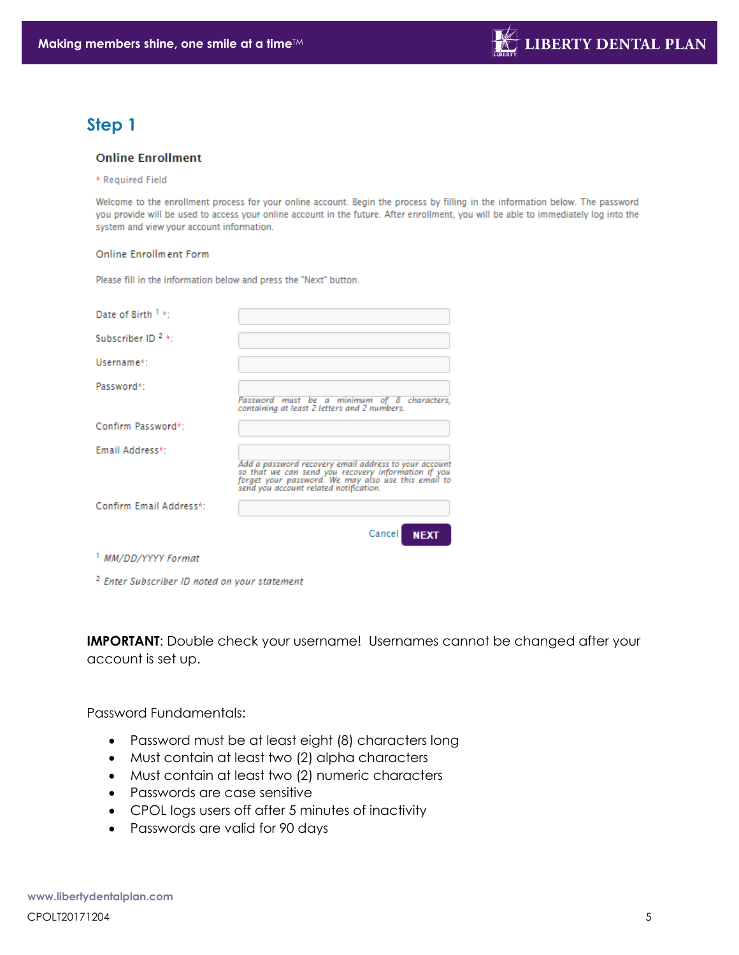# <span id="page-4-0"></span>**Step 1**

#### **Online Enrollment**

\* Required Field

Welcome to the enrollment process for your online account. Begin the process by filling in the information below. The password you provide will be used to access your online account in the future. After enrollment, you will be able to immediately log into the system and view your account information.

#### Online Enrollment Form

Please fill in the information below and press the "Next" button.

| Date of Birth 1 *:            |                                                                                                                                                                                                               |
|-------------------------------|---------------------------------------------------------------------------------------------------------------------------------------------------------------------------------------------------------------|
| Subscriber ID <sup>2</sup> *: |                                                                                                                                                                                                               |
| Username*:                    |                                                                                                                                                                                                               |
| Password*:                    | Password must be a minimum of 8 characters,<br>containing at least 2 letters and 2 numbers.                                                                                                                   |
| Confirm Password*:            |                                                                                                                                                                                                               |
| Email Address*:               | Add a password recovery email address to your account<br>so that we can send you recovery information if you<br>forget your password. We may also use this email to<br>send you account related notification. |
| Confirm Email Address*:       |                                                                                                                                                                                                               |
|                               | <b>Cancel</b><br><b>NEXT</b>                                                                                                                                                                                  |
| <i>MM/DD/YYYY Format</i>      |                                                                                                                                                                                                               |

<sup>2</sup> Enter Subscriber ID noted on your statement

**IMPORTANT:** Double check your username! Usernames cannot be changed after your account is set up.

Password Fundamentals:

- Password must be at least eight (8) characters long
- Must contain at least two (2) alpha characters
- Must contain at least two (2) numeric characters
- Passwords are case sensitive
- CPOL logs users off after 5 minutes of inactivity
- Passwords are valid for 90 days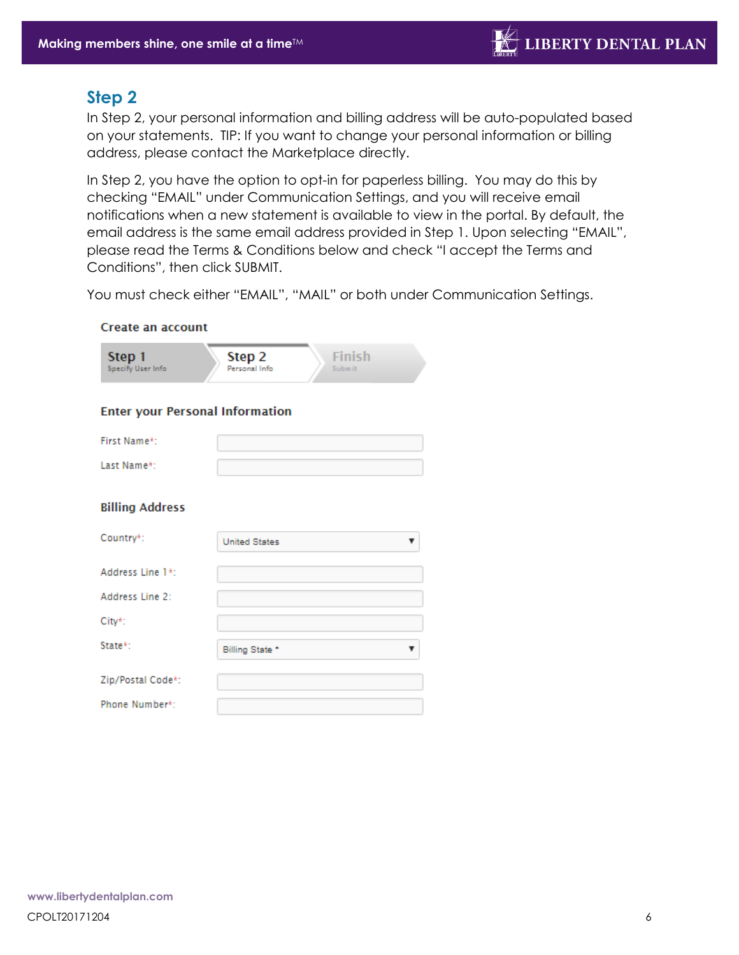### <span id="page-5-0"></span>**Step 2**

In Step 2, your personal information and billing address will be auto-populated based on your statements. TIP: If you want to change your personal information or billing address, please contact the Marketplace directly.

In Step 2, you have the option to opt-in for paperless billing. You may do this by checking "EMAIL" under Communication Settings, and you will receive email notifications when a new statement is available to view in the portal. By default, the email address is the same email address provided in Step 1. Upon selecting "EMAIL", please read the Terms & Conditions below and check "I accept the Terms and Conditions", then click SUBMIT.

You must check either "EMAIL", "MAIL" or both under Communication Settings.

#### **Create an account**

| Step 2<br>Step 1<br>Specify User Info<br>Personal Info | <b>Finish</b><br>Subm it |
|--------------------------------------------------------|--------------------------|
|--------------------------------------------------------|--------------------------|

#### **Enter your Personal Information**

| First Name*: |  |
|--------------|--|
| Last Name*:  |  |

#### **Billing Address**

| Country*:         | <b>United States</b> |
|-------------------|----------------------|
| Address Line 1*:  |                      |
| Address Line 2:   |                      |
| City*:            |                      |
| State*:           | Billing State *      |
| Zip/Postal Code*: |                      |
| Phone Number*:    |                      |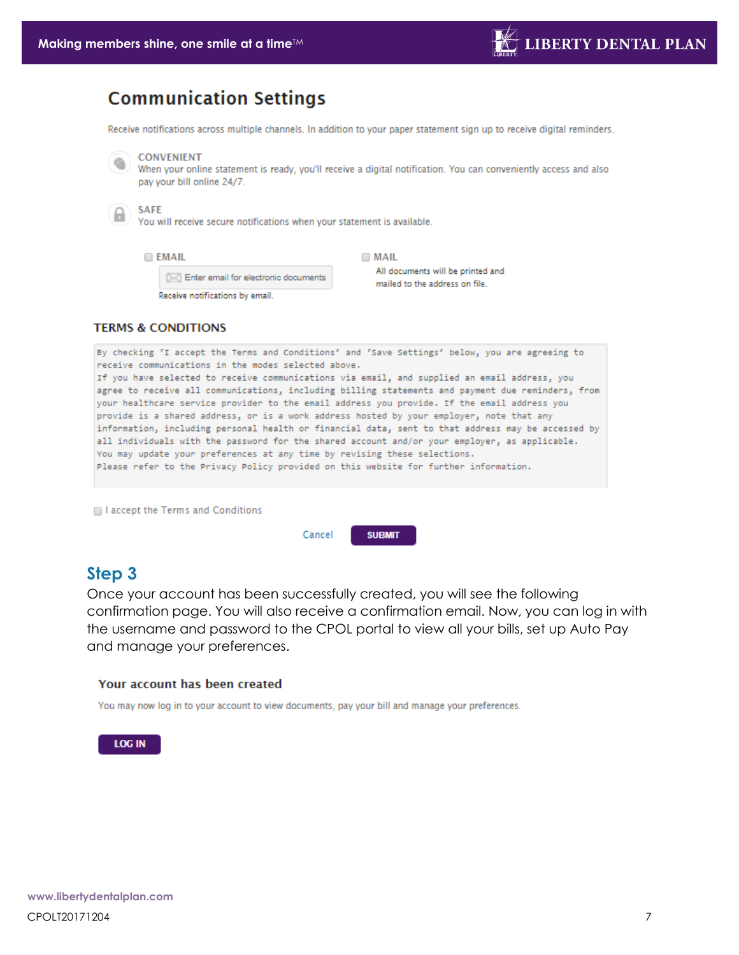# **Communication Settings**

Receive notifications across multiple channels. In addition to your paper statement sign up to receive digital reminders.

#### **CONVENIENT** ۹

When your online statement is ready, you'll receive a digital notification. You can conveniently access and also pay your bill online 24/7.

#### **SAFE**

You will receive secure notifications when your statement is available.

**EMAIL** 

 $\Box$  MAIL

[X] Enter email for electronic documents

Receive notifications by email.

All documents will be printed and mailed to the address on file.

#### **TERMS & CONDITIONS**

By checking 'I accept the Terms and Conditions' and 'Save Settings' below, you are agreeing to receive communications in the modes selected above. If you have selected to receive communications via email, and supplied an email address, you agree to receive all communications, including billing statements and payment due reminders, from your healthcare service provider to the email address you provide. If the email address you provide is a shared address, or is a work address hosted by your employer, note that any information, including personal health or financial data, sent to that address may be accessed by all individuals with the password for the shared account and/or your employer, as applicable. You may update your preferences at any time by revising these selections. Please refer to the Privacy Policy provided on this website for further information.

I accept the Terms and Conditions

Cancel **SUBMIT** 

### <span id="page-6-0"></span>**Step 3**

Once your account has been successfully created, you will see the following confirmation page. You will also receive a confirmation email. Now, you can log in with the username and password to the CPOL portal to view all your bills, set up Auto Pay and manage your preferences.

#### Your account has been created

You may now log in to your account to view documents, pay your bill and manage your preferences.

#### <span id="page-6-1"></span>**LOG IN**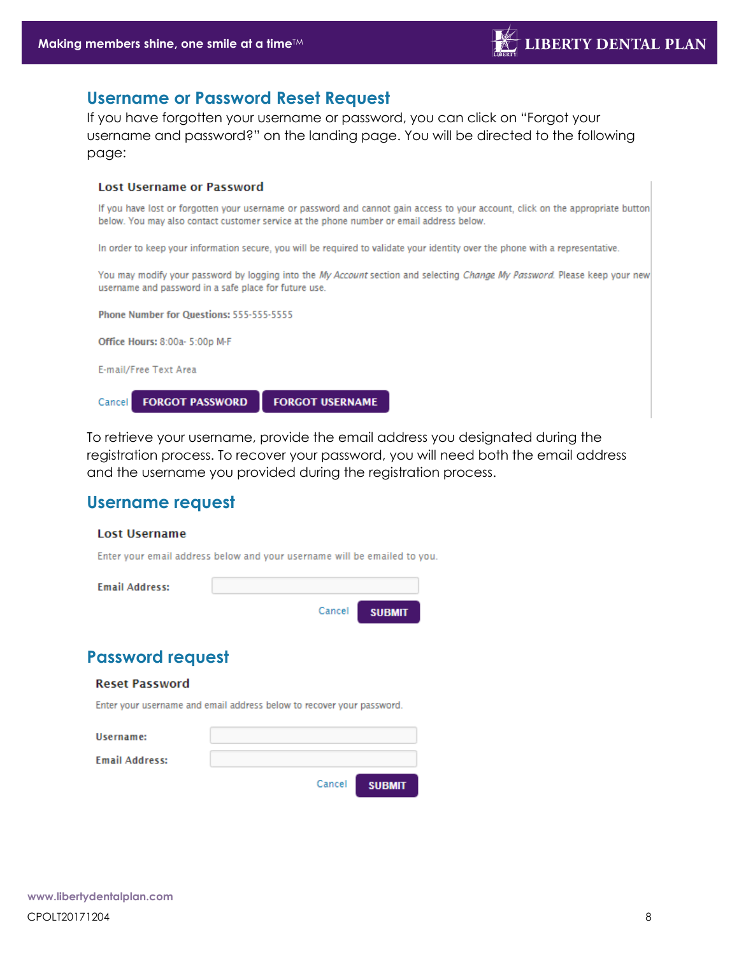### **Username or Password Reset Request**

If you have forgotten your username or password, you can click on "Forgot your username and password?" on the landing page. You will be directed to the following page:

#### **Lost Username or Password**

If you have lost or forgotten your username or password and cannot gain access to your account, click on the appropriate button below. You may also contact customer service at the phone number or email address below.

In order to keep your information secure, you will be required to validate your identity over the phone with a representative.

You may modify your password by logging into the My Account section and selecting Change My Password. Please keep your new username and password in a safe place for future use.



To retrieve your username, provide the email address you designated during the registration process. To recover your password, you will need both the email address and the username you provided during the registration process.

### <span id="page-7-0"></span>**Username request**

#### **Lost Username**

Enter your email address below and your username will be emailed to you.



# <span id="page-7-1"></span>**Password request**

#### **Reset Password**

Enter your username and email address below to recover your password.

| Username:             |        |               |
|-----------------------|--------|---------------|
| <b>Email Address:</b> |        |               |
|                       | Cancel | <b>SUBMIT</b> |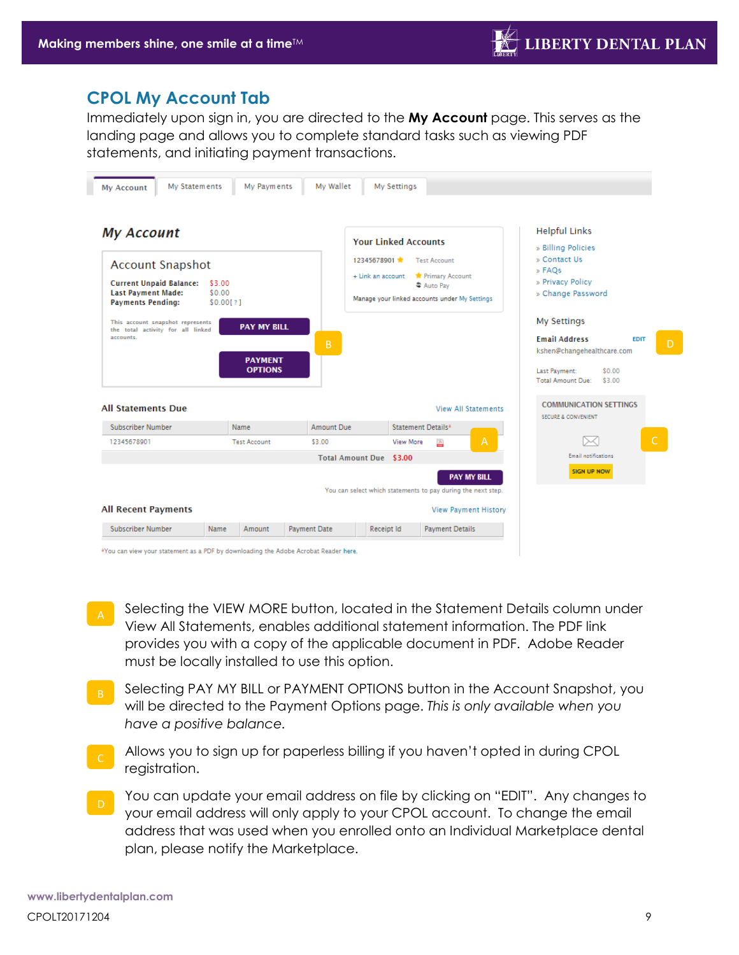### <span id="page-8-0"></span>**CPOL My Account Tab**

Immediately upon sign in, you are directed to the **My Account** page. This serves as the landing page and allows you to complete standard tasks such as viewing PDF statements, and initiating payment transactions.

| <b>My Account</b><br><b>Account Snapshot</b><br><b>Current Unpaid Balance:</b><br><b>Last Payment Made:</b><br><b>Payments Pending:</b><br>This account snapshot represents<br>the total activity for all linked<br>accounts. | \$3.00<br>\$0.00<br>\$0.00[?]<br><b>PAY MY BILL</b><br><b>PAYMENT</b><br><b>OPTIONS</b> | B.         | <b>Your Linked Accounts</b><br>12345678901 *<br><b>Test Account</b><br>Primary Account<br>+ Link an account<br>↓ Auto Pay<br>Manage your linked accounts under My Settings | <b>Helpful Links</b><br>» Billing Policies<br>» Contact Us<br>» FAOs<br>» Privacy Policy<br>» Change Password<br><b>My Settings</b><br><b>Email Address</b><br><b>EDIT</b><br>kshen@changehealthcare.com |
|-------------------------------------------------------------------------------------------------------------------------------------------------------------------------------------------------------------------------------|-----------------------------------------------------------------------------------------|------------|----------------------------------------------------------------------------------------------------------------------------------------------------------------------------|----------------------------------------------------------------------------------------------------------------------------------------------------------------------------------------------------------|
|                                                                                                                                                                                                                               |                                                                                         |            | <b>View All Statements</b>                                                                                                                                                 | Last Payment:<br>\$0.00<br><b>Total Amount Due:</b><br>\$3.00<br><b>COMMUNICATION SETTINGS</b>                                                                                                           |
| <b>All Statements Due</b><br><b>Subscriber Number</b>                                                                                                                                                                         | <b>Name</b>                                                                             | Amount Due | Statement Details*                                                                                                                                                         | <b>SECURE &amp; CONVENIENT</b>                                                                                                                                                                           |
| 12345678901                                                                                                                                                                                                                   | <b>Test Account</b>                                                                     | \$3.00     | $\overline{A}$<br>View More<br>人<br>Total Amount Due \$3.00                                                                                                                | $\mathsf{C}$<br><b>Email notifications</b>                                                                                                                                                               |

\*You can view your statement as a PDF by downloading the Adobe Acrobat Reader here.

- Selecting the VIEW MORE button, located in the Statement Details column under View All Statements, enables additional statement information. The PDF link provides you with a copy of the applicable document in PDF. Adobe Reader must be locally installed to use this option.
- Selecting PAY MY BILL or PAYMENT OPTIONS button in the Account Snapshot, you will be directed to the Payment Options page. *This is only available when you have a positive balance.*
- Allows you to sign up for paperless billing if you haven't opted in during CPOL registration.
- You can update your email address on file by clicking on "EDIT". Any changes to your email address will only apply to your CPOL account. To change the email address that was used when you enrolled onto an Individual Marketplace dental plan, please notify the Marketplace.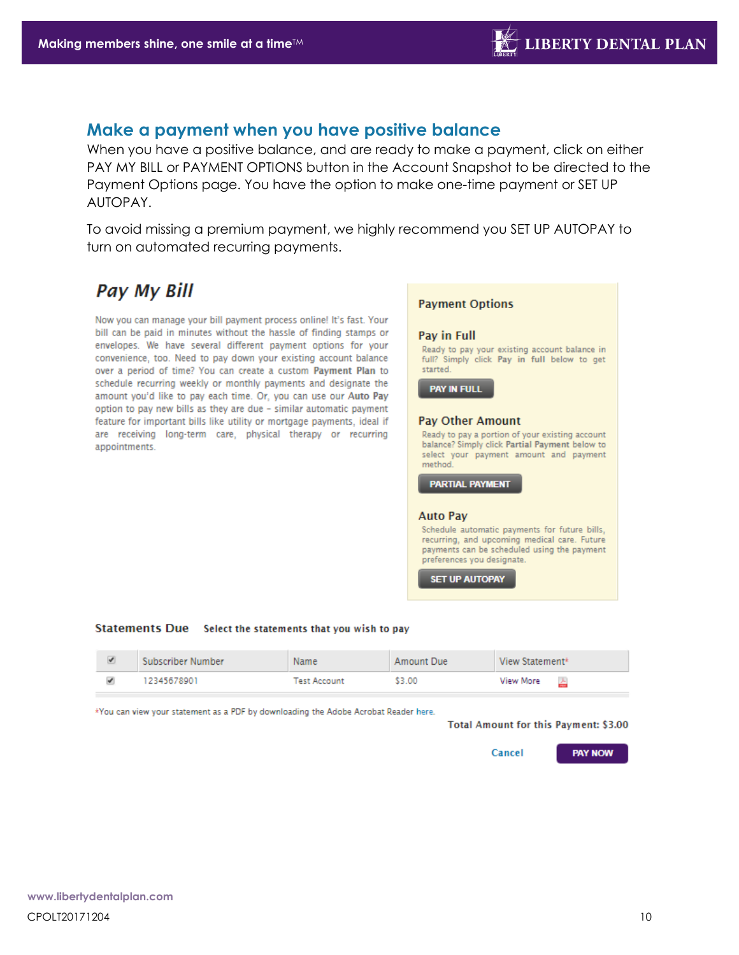### <span id="page-9-0"></span>**Make a payment when you have positive balance**

When you have a positive balance, and are ready to make a payment, click on either PAY MY BILL or PAYMENT OPTIONS button in the Account Snapshot to be directed to the Payment Options page. You have the option to make one-time payment or SET UP AUTOPAY.

To avoid missing a premium payment, we highly recommend you SET UP AUTOPAY to turn on automated recurring payments.

# **Pay My Bill**

Now you can manage your bill payment process online! It's fast. Your bill can be paid in minutes without the hassle of finding stamps or envelopes. We have several different payment options for your convenience, too. Need to pay down your existing account balance over a period of time? You can create a custom Payment Plan to schedule recurring weekly or monthly payments and designate the amount you'd like to pay each time. Or, you can use our Auto Pay option to pay new bills as they are due - similar automatic payment feature for important bills like utility or mortgage payments, ideal if are receiving long-term care, physical therapy or recurring appointments.

#### **Payment Options**

#### Pay in Full

Ready to pay your existing account balance in full? Simply click Pay in full below to get started.

**PAY IN FULL** 

#### **Pay Other Amount**

Ready to pay a portion of your existing account balance? Simply click Partial Payment below to select your payment amount and payment method

**PARTIAL PAYMENT** 

#### **Auto Pav**

Schedule automatic payments for future bills, recurring, and upcoming medical care. Future payments can be scheduled using the payment preferences you designate.

**SET UP AUTOPAY** 

#### Statements Due Select the statements that you wish to pay

| Subscriber Number | Name                | Amount Due | View Statement* |
|-------------------|---------------------|------------|-----------------|
| 12345678901       | <b>Test Account</b> | \$3.00     | View More       |

<span id="page-9-1"></span>\*You can view your statement as a PDF by downloading the Adobe Acrobat Reader here.

#### Total Amount for this Payment: \$3.00

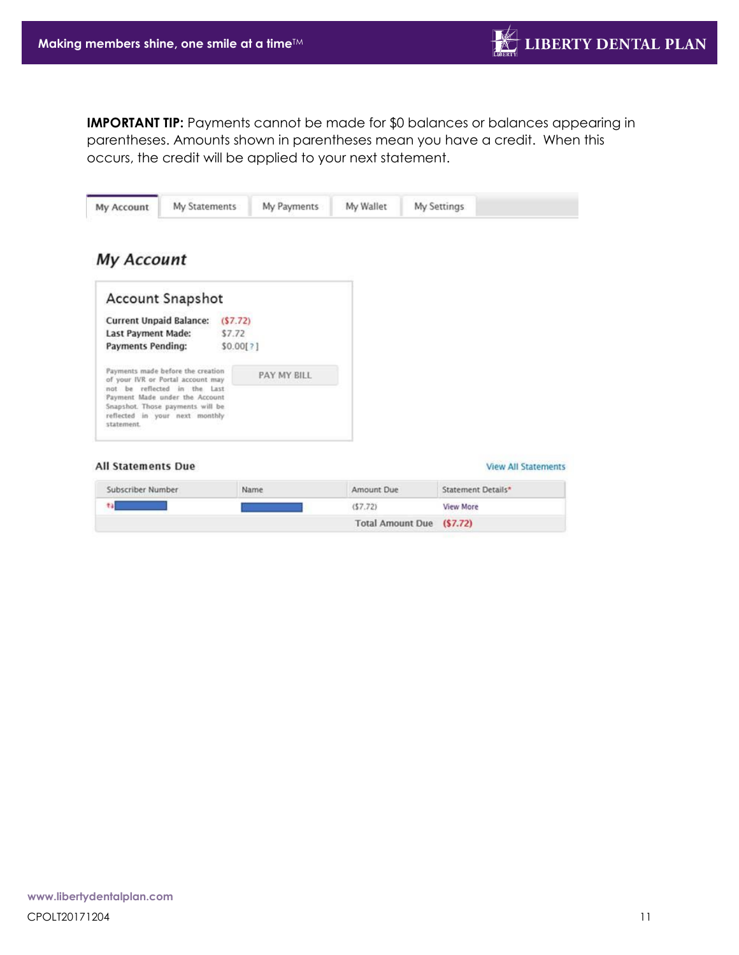**IMPORTANT TIP:** Payments cannot be made for \$0 balances or balances appearing in parentheses. Amounts shown in parentheses mean you have a credit. When this occurs, the credit will be applied to your next statement.

| My Statements<br>My Account                                                                        |           | My Payments | My Wallet               | My Settings                |
|----------------------------------------------------------------------------------------------------|-----------|-------------|-------------------------|----------------------------|
| <b>My Account</b>                                                                                  |           |             |                         |                            |
| <b>Account Snapshot</b>                                                                            |           |             |                         |                            |
| <b>Current Unpaid Balance:</b>                                                                     | (S7, 72)  |             |                         |                            |
| <b>Last Payment Made:</b>                                                                          | \$7.72    |             |                         |                            |
| <b>Payments Pending:</b>                                                                           | \$0.00[?] |             |                         |                            |
| Payments made before the creation<br>of your IVR or Portal account may                             |           | PAY MY BILL |                         |                            |
| not be reflected in the Last<br>Payment Made under the Account<br>Snapshot. Those payments will be |           |             |                         |                            |
| reflected in your next monthly<br>statement.                                                       |           |             |                         |                            |
|                                                                                                    |           |             |                         |                            |
| <b>All Statements Due</b>                                                                          |           |             |                         | <b>View All Statements</b> |
| Subscriber Number                                                                                  | Name      |             | Amount Due              | Statement Details*         |
| 43                                                                                                 |           |             | (57.72)                 | <b>View More</b>           |
|                                                                                                    |           |             | <b>Total Amount Due</b> | (S7.72)                    |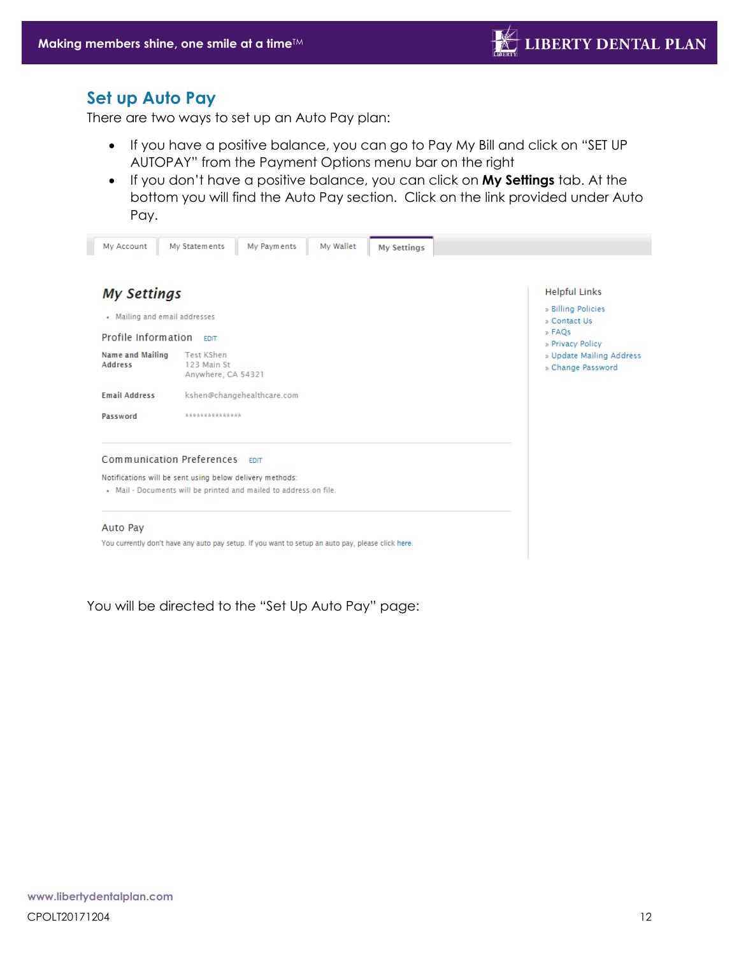### **Set up Auto Pay**

There are two ways to set up an Auto Pay plan:

- If you have a positive balance, you can go to Pay My Bill and click on "SET UP AUTOPAY" from the Payment Options menu bar on the right
- If you don't have a positive balance, you can click on **My Settings** tab. At the bottom you will find the Auto Pay section. Click on the link provided under Auto Pay.

| My Account                                                                                                                    | My Wallet<br>My Statements<br>My Payments<br><b>My Settings</b>                                   |                                                                                          |
|-------------------------------------------------------------------------------------------------------------------------------|---------------------------------------------------------------------------------------------------|------------------------------------------------------------------------------------------|
| <b>My Settings</b><br>• Mailing and email addresses<br><b>Profile Information</b> FDIT                                        |                                                                                                   | <b>Helpful Links</b><br>» Billing Policies<br>» Contact Us<br>» FAQs<br>» Privacy Policy |
| <b>Name and Mailing</b><br><b>Address</b>                                                                                     | <b>Test KShen</b><br>123 Main St<br>Anywhere, CA 54321                                            | » Update Mailing Address<br>» Change Password                                            |
| <b>Email Address</b>                                                                                                          | kshen@changehealthcare.com                                                                        |                                                                                          |
| Password                                                                                                                      | ***************                                                                                   |                                                                                          |
| Communication Preferences                                                                                                     | <b>FDIT</b>                                                                                       |                                                                                          |
| Notifications will be sent using below delivery methods:<br>. Mail - Documents will be printed and mailed to address on file. |                                                                                                   |                                                                                          |
| Auto Pay                                                                                                                      |                                                                                                   |                                                                                          |
|                                                                                                                               | You currently don't have any auto pay setup. If you want to setup an auto pay, please click here. |                                                                                          |
|                                                                                                                               |                                                                                                   |                                                                                          |

You will be directed to the "Set Up Auto Pay" page: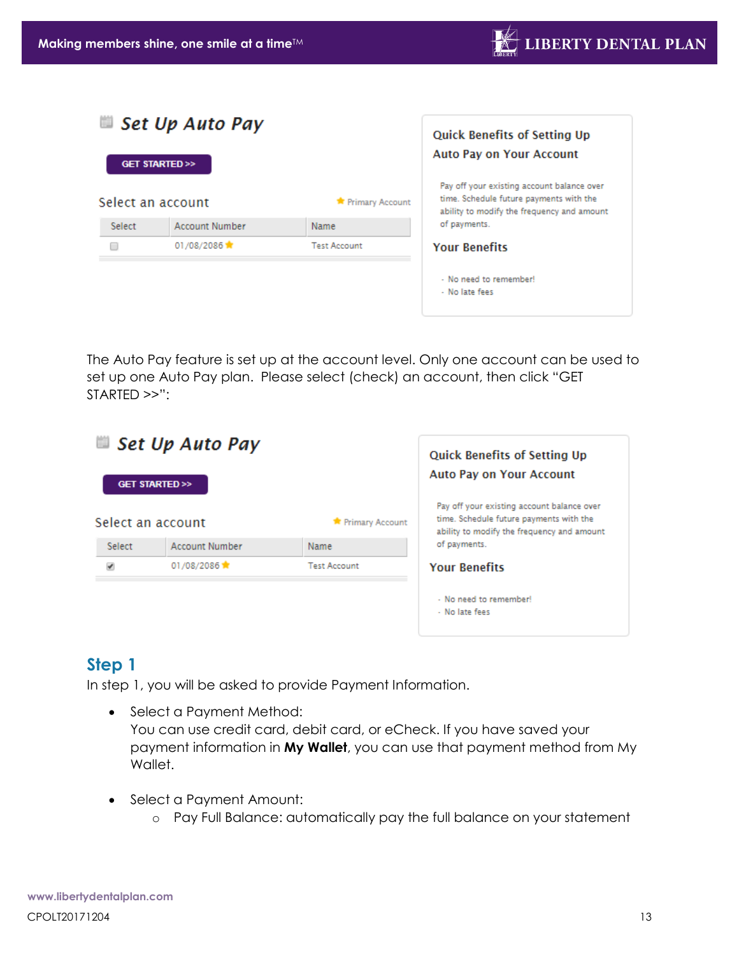| œ                 | Set Up Auto Pay             | <b>Quick Benefits of Setting Up</b><br><b>Auto Pay on Your Account</b> |                                                                                                                                     |
|-------------------|-----------------------------|------------------------------------------------------------------------|-------------------------------------------------------------------------------------------------------------------------------------|
| Select an account | <b>GET STARTED &gt;&gt;</b> | <b>*</b> Primary Account                                               | Pay off your existing account balance over<br>time. Schedule future payments with the<br>ability to modify the frequency and amount |
| <b>Select</b>     | <b>Account Number</b>       | <b>Name</b>                                                            | of payments.                                                                                                                        |
|                   | 01/08/2086                  | <b>Test Account</b>                                                    | <b>Your Benefits</b><br>- No need to remember!<br>- No late fees                                                                    |

The Auto Pay feature is set up at the account level. Only one account can be used to set up one Auto Pay plan. Please select (check) an account, then click "GET STARTED >>":



# <span id="page-12-0"></span>**Step 1**

In step 1, you will be asked to provide Payment Information.

- Select a Payment Method: You can use credit card, debit card, or eCheck. If you have saved your payment information in **My Wallet**, you can use that payment method from My Wallet.
- Select a Payment Amount:
	- o Pay Full Balance: automatically pay the full balance on your statement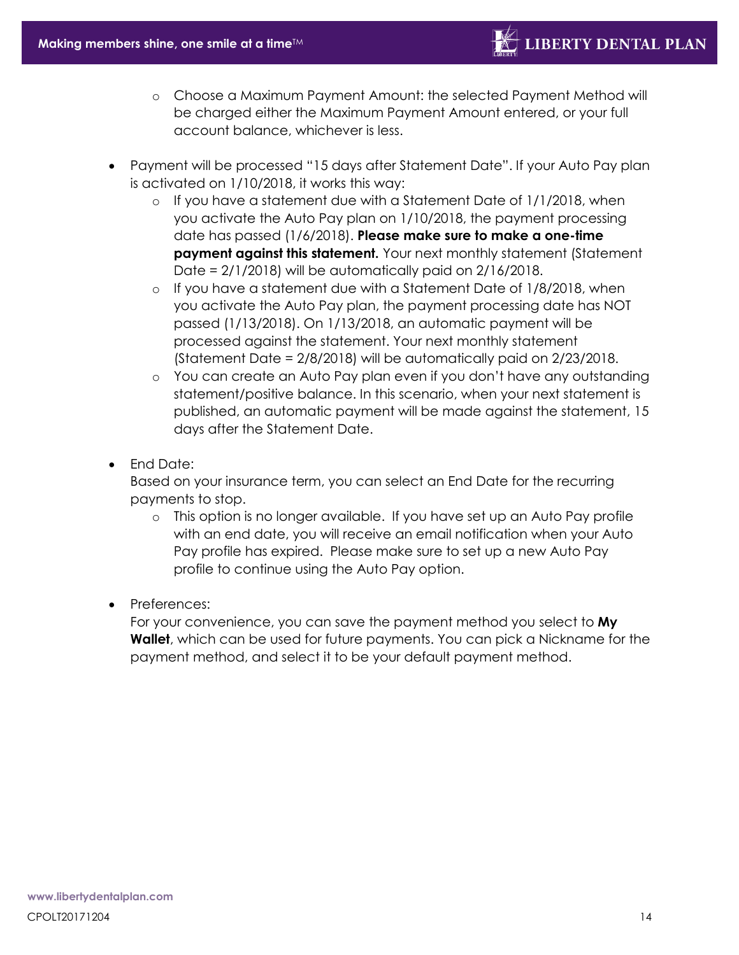- o Choose a Maximum Payment Amount: the selected Payment Method will be charged either the Maximum Payment Amount entered, or your full account balance, whichever is less.
- Payment will be processed "15 days after Statement Date". If your Auto Pay plan is activated on 1/10/2018, it works this way:
	- $\circ$  If you have a statement due with a Statement Date of 1/1/2018, when you activate the Auto Pay plan on 1/10/2018, the payment processing date has passed (1/6/2018). **Please make sure to make a one-time payment against this statement.** Your next monthly statement (Statement Date =  $2/1/2018$ ) will be automatically paid on  $2/16/2018$ .
	- $\circ$  If you have a statement due with a Statement Date of 1/8/2018, when you activate the Auto Pay plan, the payment processing date has NOT passed (1/13/2018). On 1/13/2018, an automatic payment will be processed against the statement. Your next monthly statement (Statement Date = 2/8/2018) will be automatically paid on 2/23/2018.
	- o You can create an Auto Pay plan even if you don't have any outstanding statement/positive balance. In this scenario, when your next statement is published, an automatic payment will be made against the statement, 15 days after the Statement Date.
- End Date:

Based on your insurance term, you can select an End Date for the recurring payments to stop.

- o This option is no longer available. If you have set up an Auto Pay profile with an end date, you will receive an email notification when your Auto Pay profile has expired. Please make sure to set up a new Auto Pay profile to continue using the Auto Pay option.
- Preferences:

For your convenience, you can save the payment method you select to **My Wallet**, which can be used for future payments. You can pick a Nickname for the payment method, and select it to be your default payment method.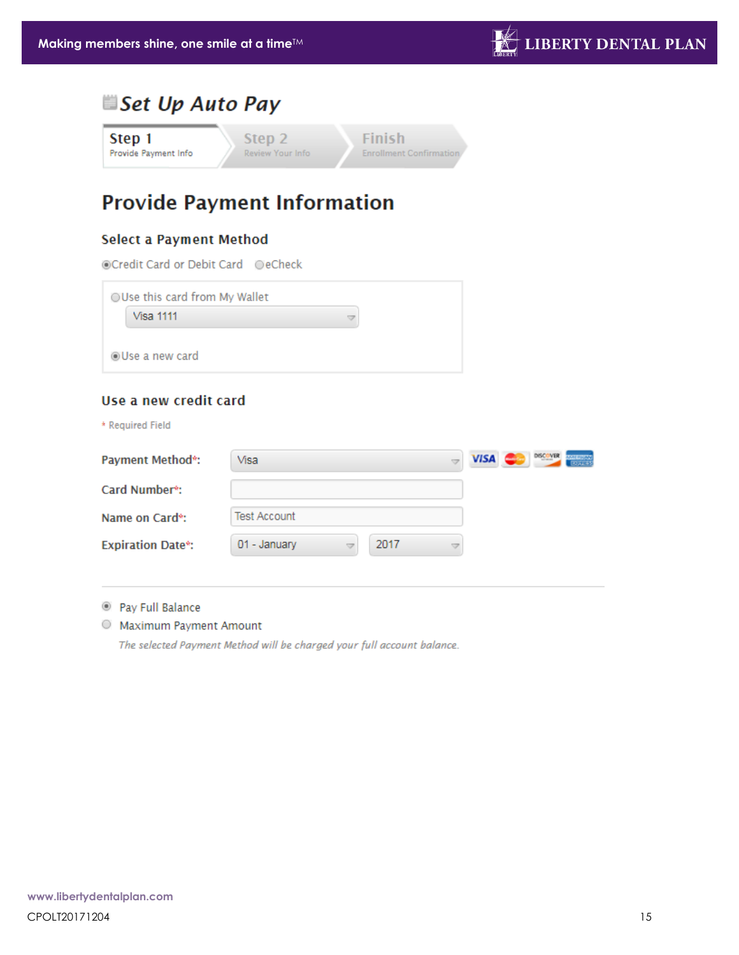# Set Up Auto Pay

**Finish** Step 1 Step 2 Provide Payment Info Review Your Info **Enrollment Confirmation** 

# **Provide Payment Information**

### **Select a Payment Method**

⊙Credit Card or Debit Card ©eCheck

| Use this card from My Wallet |   |
|------------------------------|---|
| Visa 1111                    | v |
| ◉Use a new card              |   |
|                              |   |

### Use a new credit card

\* Required Field

| <b>Payment Method*:</b>     | Visa                 | DISCOVER<br><b>VISA</b> |
|-----------------------------|----------------------|-------------------------|
| Card Number <sup>*</sup> :  |                      |                         |
| Name on Card <sup>*</sup> : | Test Account         |                         |
| <b>Expiration Date*:</b>    | 2017<br>01 - January |                         |

<sup>®</sup> Pay Full Balance

O Maximum Payment Amount

The selected Payment Method will be charged your full account balance.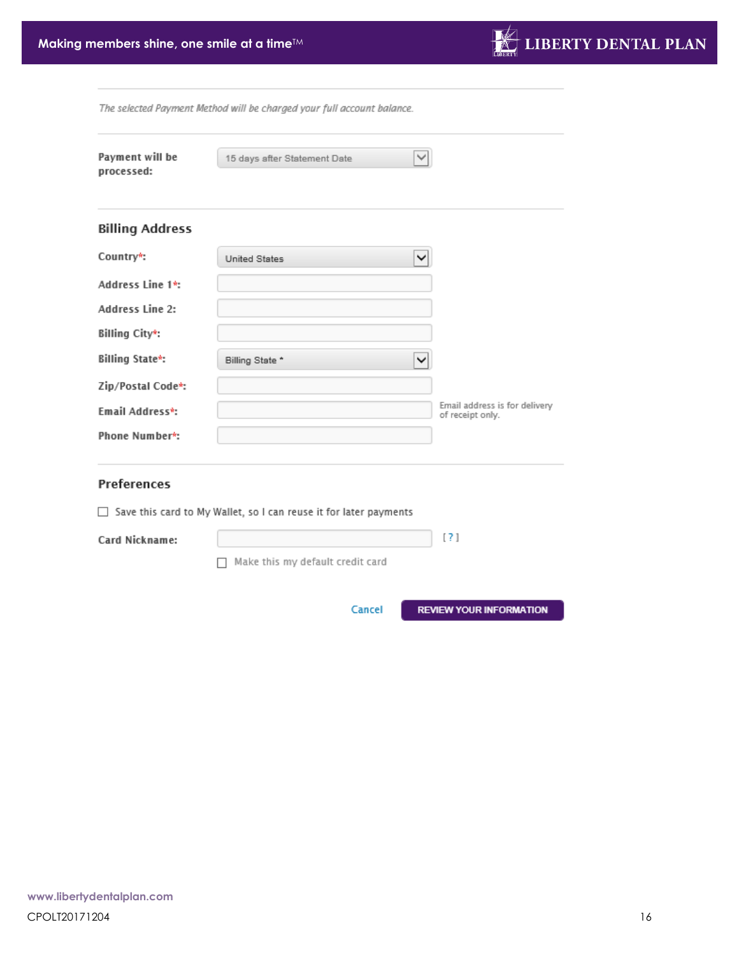

The selected Payment Method will be charged your full account balance.

<span id="page-15-0"></span>

| Payment will be<br>processed: | 15 days after Statement Date                                             |                                                   |
|-------------------------------|--------------------------------------------------------------------------|---------------------------------------------------|
| <b>Billing Address</b>        |                                                                          |                                                   |
| Country*:                     | United States                                                            |                                                   |
| Address Line 1*:              |                                                                          |                                                   |
| <b>Address Line 2:</b>        |                                                                          |                                                   |
| Billing City*:                |                                                                          |                                                   |
| <b>Billing State*:</b>        | Billing State *                                                          |                                                   |
| Zip/Postal Code*:             |                                                                          |                                                   |
| Email Address*:               |                                                                          | Email address is for delivery<br>of receipt only. |
| Phone Number*:                |                                                                          |                                                   |
| <b>Preferences</b>            |                                                                          |                                                   |
|                               | $\Box$ Save this card to My Wallet, so I can reuse it for later payments |                                                   |
| Card Nickname:                |                                                                          | [?]                                               |
|                               | Make this my default credit card                                         |                                                   |
|                               | Cancel                                                                   | <b>REVIEW YOUR INFORMATION</b>                    |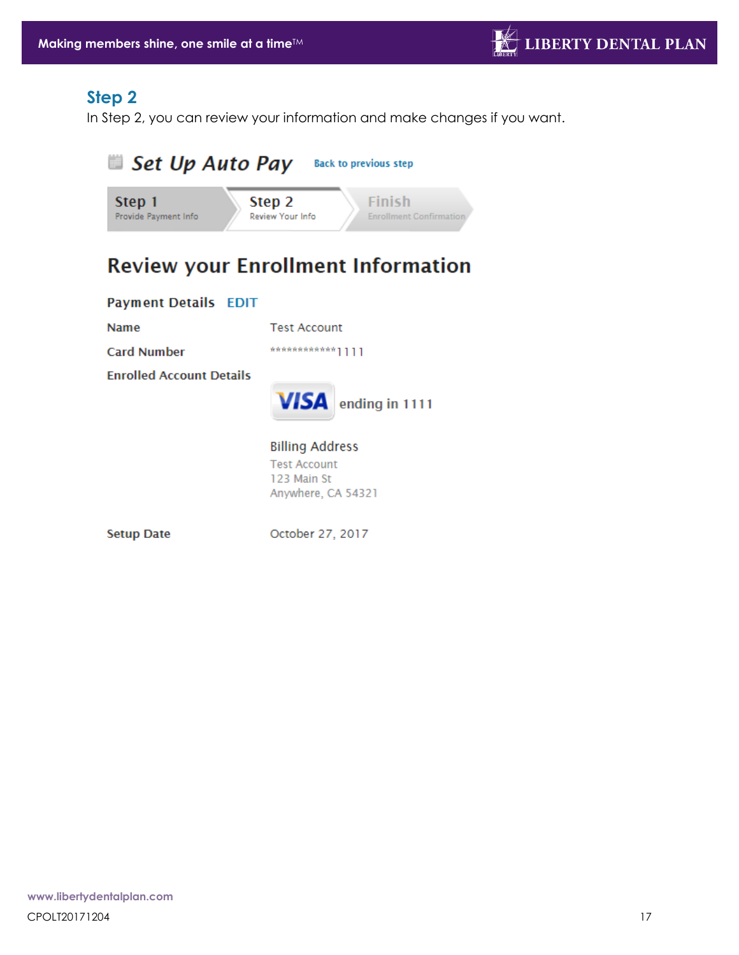# **Step 2**

In Step 2, you can review your information and make changes if you want.



# **Review your Enrollment Information**

#### **Payment Details EDIT**

**Name** 

**Test Account** 

**Card Number** 

**Enrolled Account Details** 



**Billing Address Test Account** 123 Main St Anywhere, CA 54321

**Setup Date** 

October 27, 2017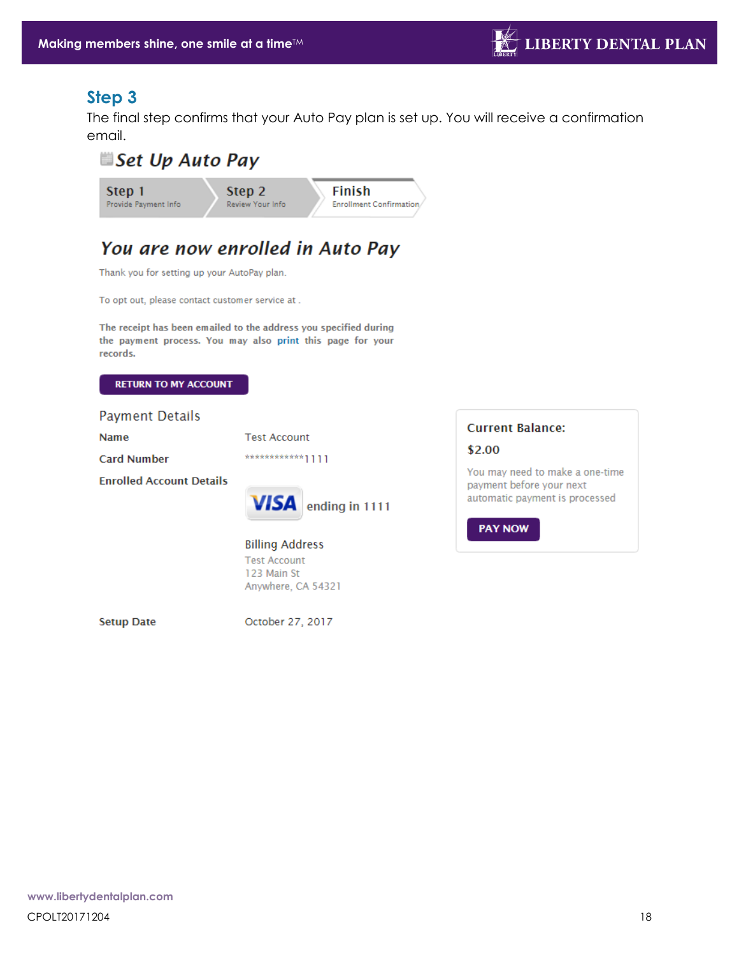# <span id="page-17-0"></span>**Step 3**

The final step confirms that your Auto Pay plan is set up. You will receive a confirmation email.

<span id="page-17-1"></span>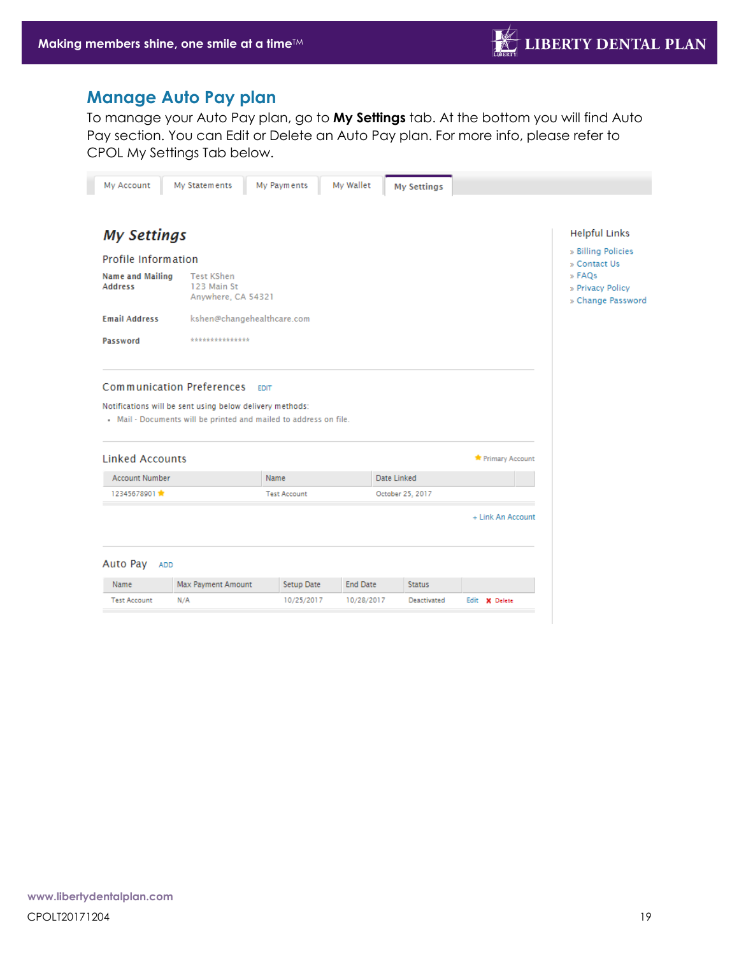## **Manage Auto Pay plan**

To manage your Auto Pay plan, go to **My Settings** tab. At the bottom you will find Auto Pay section. You can Edit or Delete an Auto Pay plan. For more info, please refer to CPOL My Settings Tab below.

<span id="page-18-0"></span>

| My Account                                | My Statements                                                                                                                 | My Payments                | My Wallet       | <b>My Settings</b> |                   |                                                 |
|-------------------------------------------|-------------------------------------------------------------------------------------------------------------------------------|----------------------------|-----------------|--------------------|-------------------|-------------------------------------------------|
|                                           |                                                                                                                               |                            |                 |                    |                   |                                                 |
| <b>My Settings</b>                        |                                                                                                                               |                            |                 |                    |                   | <b>Helpful Links</b>                            |
| Profile Information                       |                                                                                                                               |                            |                 |                    |                   | » Billing Policies<br>» Contact Us              |
| <b>Name and Mailing</b><br><b>Address</b> | <b>Test KShen</b><br>123 Main St<br>Anywhere, CA 54321                                                                        |                            |                 |                    |                   | » FAOs<br>» Privacy Policy<br>» Change Password |
| <b>Email Address</b>                      |                                                                                                                               | kshen@changehealthcare.com |                 |                    |                   |                                                 |
| Password                                  | ***************                                                                                                               |                            |                 |                    |                   |                                                 |
| <b>Linked Accounts</b>                    | Notifications will be sent using below delivery methods:<br>- Mail - Documents will be printed and mailed to address on file. |                            |                 |                    | Primary Account   |                                                 |
| <b>Account Number</b>                     |                                                                                                                               | Name                       |                 | Date Linked        |                   |                                                 |
| 12345678901                               |                                                                                                                               | <b>Test Account</b>        |                 | October 25, 2017   |                   |                                                 |
|                                           |                                                                                                                               |                            |                 |                    | + Link An Account |                                                 |
| Auto Pay                                  | <b>ADD</b>                                                                                                                    |                            |                 |                    |                   |                                                 |
| Name                                      | Max Payment Amount                                                                                                            | Setup Date                 | <b>End Date</b> | <b>Status</b>      |                   |                                                 |
| <b>Test Account</b>                       | N/A                                                                                                                           | 10/25/2017                 | 10/28/2017      | Deactivated        | Edit X Delete     |                                                 |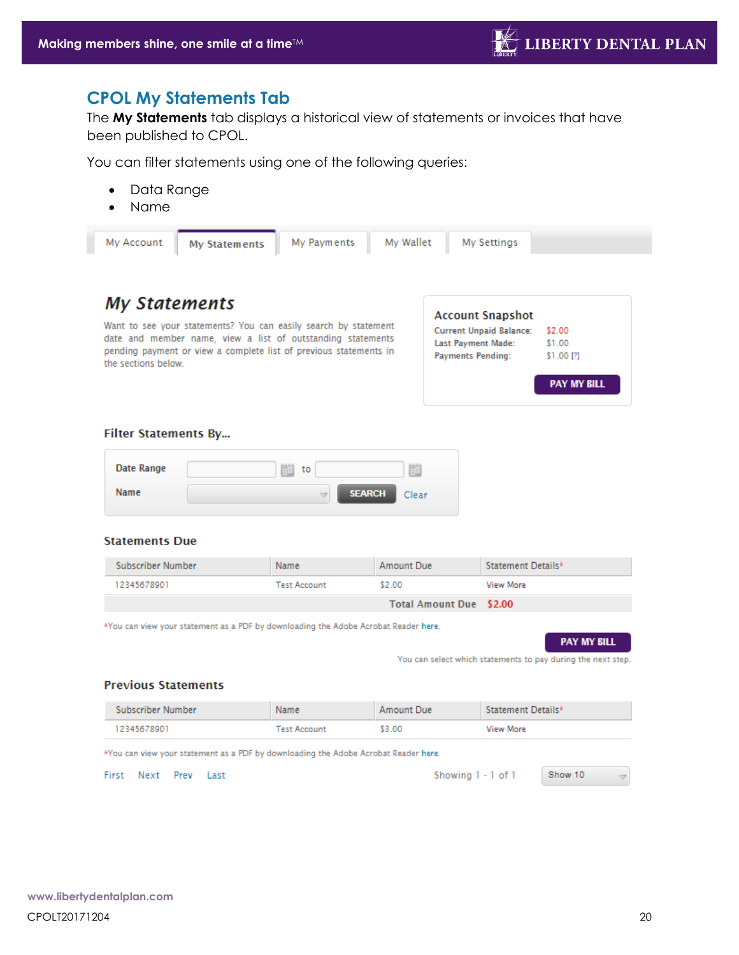# **CPOL My Statements Tab**

The **My Statements** tab displays a historical view of statements or invoices that have been published to CPOL.

You can filter statements using one of the following queries:

- Data Range
- Name

| My Account<br>My Statements | My Payments | My Wallet | My Settings             |  |
|-----------------------------|-------------|-----------|-------------------------|--|
|                             |             |           |                         |  |
| <b>My Statements</b>        |             |           | <b>Account Snapshot</b> |  |

Want to see your statements? You can easily search by statement date and member name, view a list of outstanding statements pending payment or view a complete list of previous statements in the sections below.

| <b>Account Snapshot</b>        |                    |
|--------------------------------|--------------------|
| <b>Current Unpaid Balance:</b> | \$2.00             |
| Last Payment Made:             | \$1.00             |
| <b>Payments Pending:</b>       | \$1.00 [?]         |
|                                | <b>PAY MY BILL</b> |

#### **Filter Statements By...**

| Date Range | 8.8.8.8<br>to<br><b>FILL</b> | 8888<br>٠<br><b>First</b> |
|------------|------------------------------|---------------------------|
| Name       | <b>SEARCH</b><br>₩           | Clear                     |

#### **Statements Due**

| Subscriber Number | Name                | Amount Due                     | Statement Details* |
|-------------------|---------------------|--------------------------------|--------------------|
| 12345678901       | <b>Test Account</b> | \$2.00                         | View More          |
|                   |                     | <b>Total Amount Due \$2.00</b> |                    |

\*You can view your statement as a PDF by downloading the Adobe Acrobat Reader here.



You can select which statements to pay during the next step.

#### **Previous Statements**

| Subscriber Number | Name         | Amount Due | Statement Details* |  |
|-------------------|--------------|------------|--------------------|--|
| 12345678901       | Test Account | \$3.00     | View More          |  |
| _____             |              |            |                    |  |

\*You can view your statement as a PDF by downloading the Adobe Acrobat Reader here.

<span id="page-19-0"></span>First Next Prev Last

Showing 1 - 1 of 1

Show 10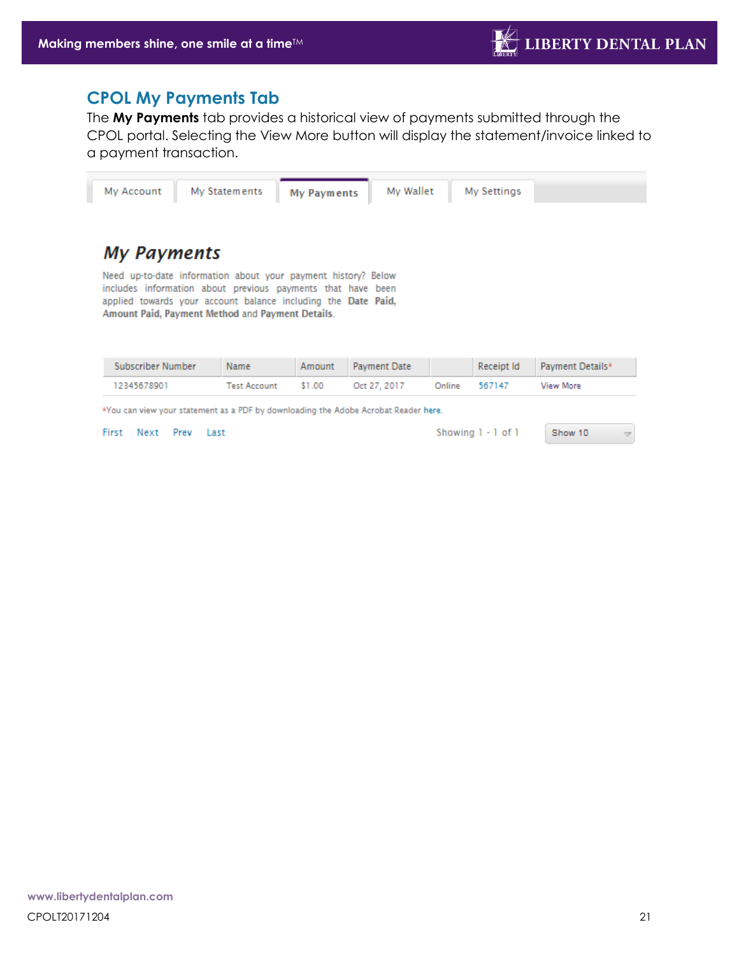## **CPOL My Payments Tab**

The **My Payments** tab provides a historical view of payments submitted through the CPOL portal. Selecting the View More button will display the statement/invoice linked to a payment transaction.



| Subscriber Number                                                                     | Name         |        | Amount Payment Date |        |        | Receipt Id Payment Details* |
|---------------------------------------------------------------------------------------|--------------|--------|---------------------|--------|--------|-----------------------------|
| 12345678901                                                                           | Test Account | \$1.00 | Oct 27, 2017        | Online | 567147 | View More                   |
| .You can view your statement as a PDF by downloading the Adobe Acrobat Reader here ** |              |        |                     |        |        |                             |

<span id="page-20-0"></span>First Next Prev Last

Showing 1 - 1 of 1

Show 10  $\overline{\mathbf{v}}$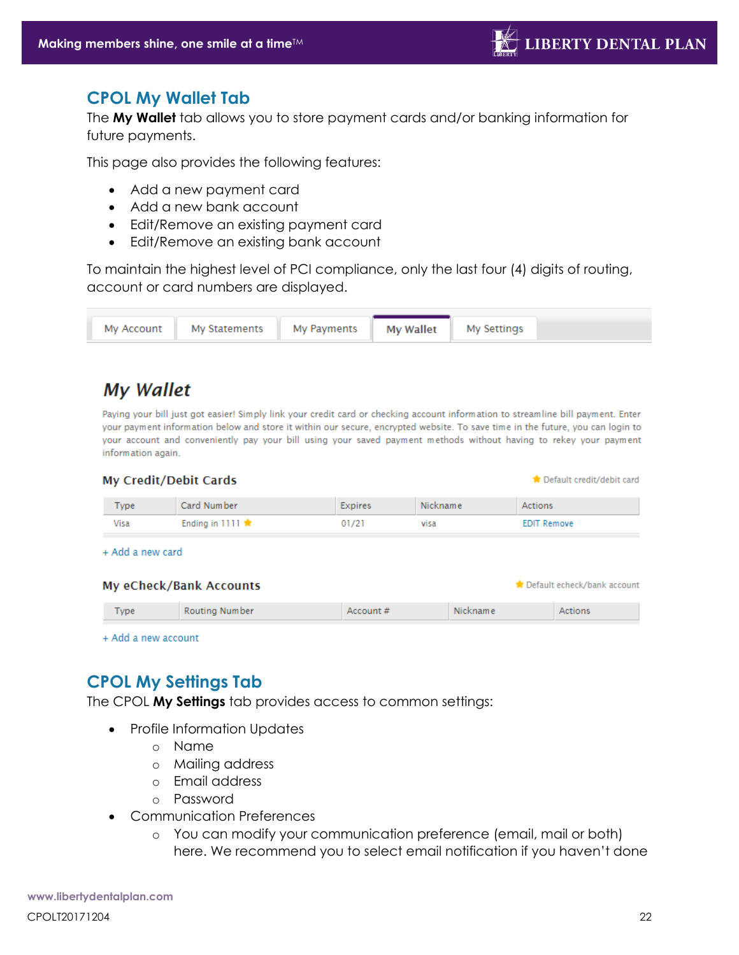Default echeck/bank account

### **CPOL My Wallet Tab**

The **My Wallet** tab allows you to store payment cards and/or banking information for future payments.

This page also provides the following features:

- Add a new payment card
- Add a new bank account
- Edit/Remove an existing payment card
- Edit/Remove an existing bank account

To maintain the highest level of PCI compliance, only the last four (4) digits of routing, account or card numbers are displayed.

| My Payments   <br>My Statements No<br>Mv Account |
|--------------------------------------------------|
|--------------------------------------------------|

# **My Wallet**

Paying your bill just got easier! Simply link your credit card or checking account information to streamline bill payment. Enter your payment information below and store it within our secure, encrypted website. To save time in the future, you can login to your account and conveniently pay your bill using your saved payment methods without having to rekey your payment information again.

| My Credit/Debit Cards<br>Default credit/debit card |             |                           |         |          |                    |  |
|----------------------------------------------------|-------------|---------------------------|---------|----------|--------------------|--|
|                                                    | <b>Type</b> | Card Number               | Expires | Nickname | Actions            |  |
|                                                    | Visa        | Ending in 1111 $\bigstar$ | 01/21   | visa     | <b>EDIT Remove</b> |  |

+ Add a new card

#### My eCheck/Bank Accounts

| $T$ <sub>VDe</sub> | Routing Number | Account # | Nickname | Actions |
|--------------------|----------------|-----------|----------|---------|

+ Add a new account

# <span id="page-21-0"></span>**CPOL My Settings Tab**

The CPOL **My Settings** tab provides access to common settings:

- Profile Information Updates
	- o Name
	- o Mailing address
	- o Email address
	- o Password
- Communication Preferences
	- o You can modify your communication preference (email, mail or both) here. We recommend you to select email notification if you haven't done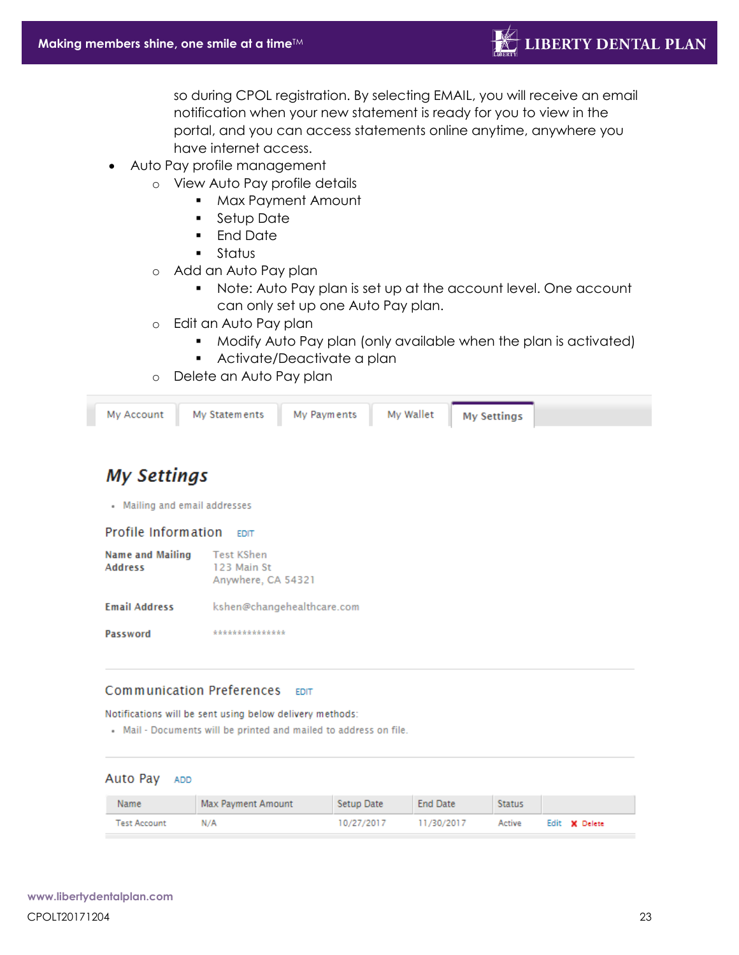so during CPOL registration. By selecting EMAIL, you will receive an email notification when your new statement is ready for you to view in the portal, and you can access statements online anytime, anywhere you have internet access.

- Auto Pay profile management
	- o View Auto Pay profile details
		- Max Payment Amount
		- Setup Date
		- End Date
		- Status
	- o Add an Auto Pay plan
		- Note: Auto Pay plan is set up at the account level. One account can only set up one Auto Pay plan.
	- o Edit an Auto Pay plan
		- Modify Auto Pay plan (only available when the plan is activated)
		- Activate/Deactivate a plan
	- o Delete an Auto Pay plan

| My Account My Statements | My Payments | My Wallet    My Settings |  |
|--------------------------|-------------|--------------------------|--|
|                          |             |                          |  |

# **My Settings**

• Mailing and email addresses

Profile Information EDIT

| <b>Name and Mailing</b><br><b>Address</b> | <b>Test KShen</b><br>123 Main St<br>Anywhere, CA 54321 |  |  |
|-------------------------------------------|--------------------------------------------------------|--|--|
| <b>Email Address</b>                      | kshen@changehealthcare.com                             |  |  |
| Password                                  | ***************                                        |  |  |

#### Communication Preferences EDIT

Notifications will be sent using below delivery methods:

. Mail - Documents will be printed and mailed to address on file.

#### Auto Pay ADD

| Name                | Max Payment Amount | Setup Date | <b>End Date</b> | <b>Status</b> |               |
|---------------------|--------------------|------------|-----------------|---------------|---------------|
| <b>Test Account</b> | N/A                | 10/27/2017 | 11/30/2017      | Active        | Edit X Delete |